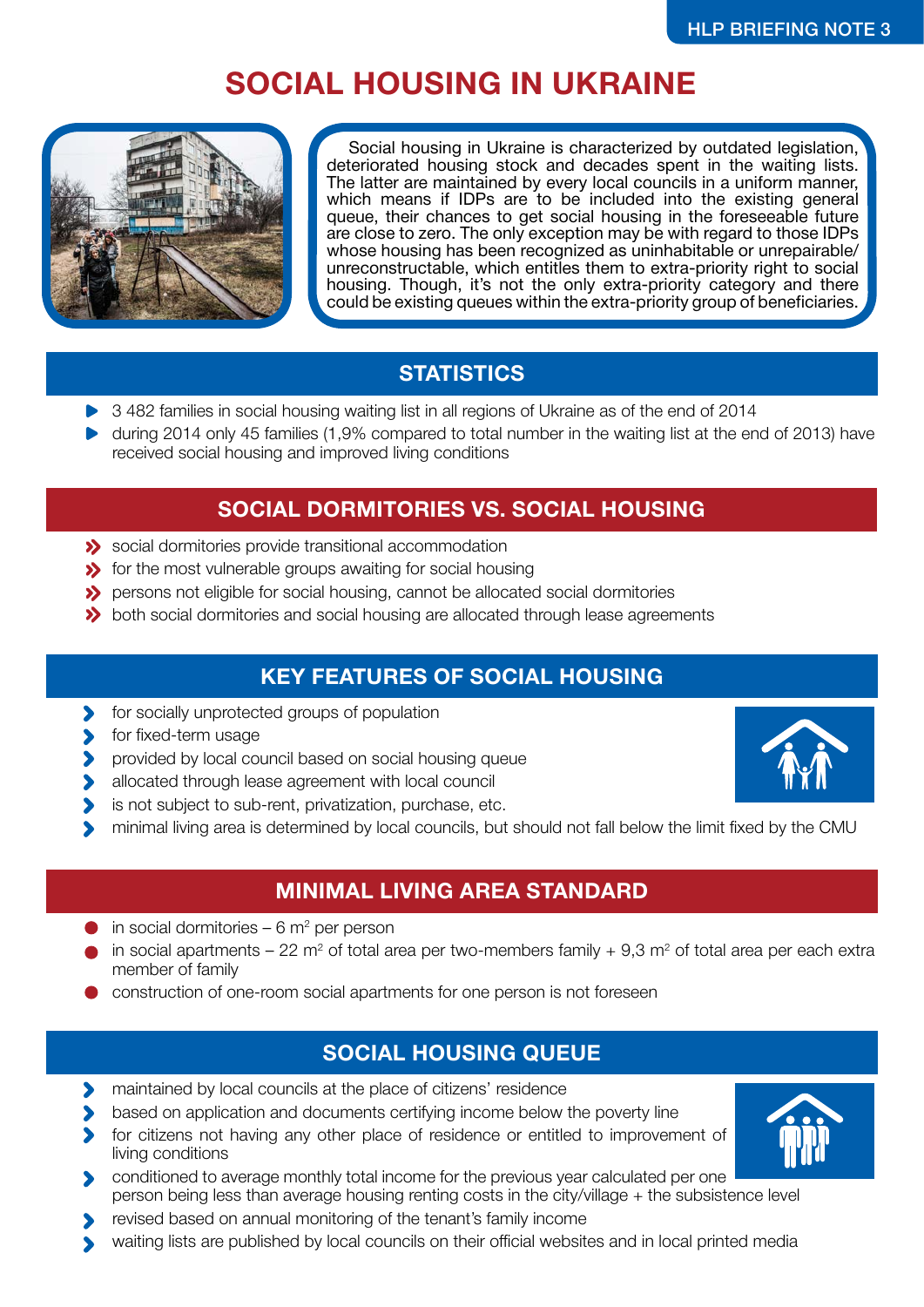# **SOCIAL HOUSING IN UKRAINE**



Social housing in Ukraine is characterized by outdated legislation, deteriorated housing stock and decades spent in the waiting lists. The latter are maintained by every local councils in a uniform manner, which means if IDPs are to be included into the existing general queue, their chances to get social housing in the foreseeable future are close to zero. The only exception may be with regard to those IDPs whose housing has been recognized as uninhabitable or unrepairable/ unreconstructable, which entitles them to extra-priority right to social housing. Though, it's not the only extra-priority category and there could be existing queues within the extra-priority group of beneficiaries.

## **STATISTICS**

- ▶ 3 482 families in social housing waiting list in all regions of Ukraine as of the end of 2014
- during 2014 only 45 families (1,9% compared to total number in the waiting list at the end of 2013) have received social housing and improved living conditions

#### **SOCIAL DORMITORIES VS. SOCIAL HOUSING**

- Social dormitories provide transitional accommodation
- **S** for the most vulnerable groups awaiting for social housing
- **>>** persons not eligible for social housing, cannot be allocated social dormitories
- **>>** both social dormitories and social housing are allocated through lease agreements

## **KEY FEATURES OF SOCIAL HOUSING**

- for socially unprotected groups of population  $\blacktriangleright$
- for fixed-term usage
- provided by local council based on social housing queue  $\blacktriangleright$
- allocated through lease agreement with local council
- is not subject to sub-rent, privatization, purchase, etc.  $\blacktriangleright$
- minimal living area is determined by local councils, but should not fall below the limit fixed by the CMU

## **MINIMAL LIVING AREA STANDARD**

- in social dormitories  $-6$  m<sup>2</sup> per person
- in social apartments 22 m<sup>2</sup> of total area per two-members family  $+$  9,3 m<sup>2</sup> of total area per each extra member of family
- **Construction of one-room social apartments for one person is not foreseen**

## **SOCIAL HOUSING QUEUE**

- maintained by local councils at the place of citizens' residence  $\blacktriangleright$
- based on application and documents certifying income below the poverty line
- for citizens not having any other place of residence or entitled to improvement of living conditions
- conditioned to average monthly total income for the previous year calculated per one person being less than average housing renting costs in the city/village + the subsistence level
- revised based on annual monitoring of the tenant's family income
- waiting lists are published by local councils on their official websites and in local printed media